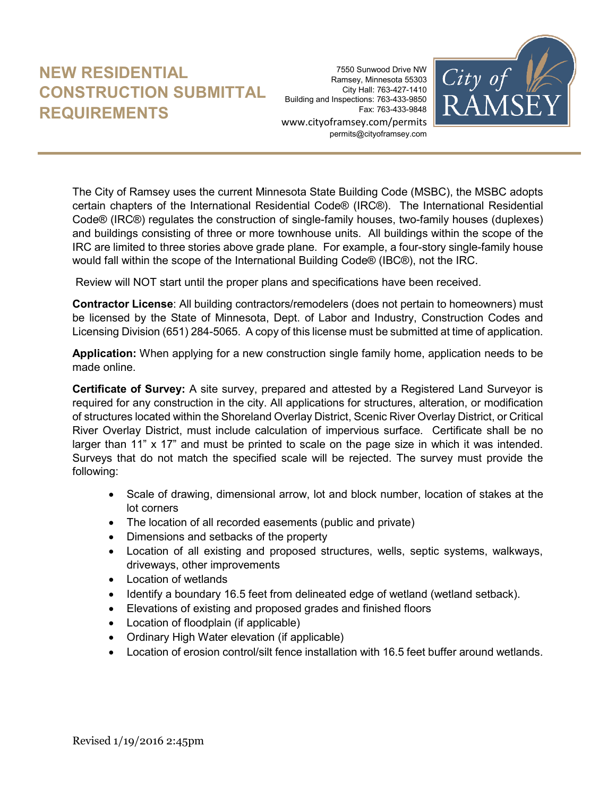## **NEW RESIDENTIAL CONSTRUCTION SUBMITTAL REQUIREMENTS**

7550 Sunwood Drive NW Ramsey, Minnesota 55303 City Hall: 763-427-1410 Building and Inspections: 763-433-9850 Fax: 763-433-9848 www.cityoframsey.com/permits permits@cityoframsey.com



The City of Ramsey uses the current Minnesota State Building Code (MSBC), the MSBC adopts certain chapters of the International Residential Code® (IRC®). The International Residential Code® (IRC®) regulates the construction of single-family houses, two-family houses (duplexes) and buildings consisting of three or more townhouse units. All buildings within the scope of the IRC are limited to three stories above grade plane. For example, a four-story single-family house would fall within the scope of the International Building Code® (IBC®), not the IRC.

Review will NOT start until the proper plans and specifications have been received.

**Contractor License**: All building contractors/remodelers (does not pertain to homeowners) must be licensed by the State of Minnesota, Dept. of Labor and Industry, Construction Codes and Licensing Division (651) 284-5065. A copy of this license must be submitted at time of application.

**Application:** When applying for a new construction single family home, application needs to be made online.

**Certificate of Survey:** A site survey, prepared and attested by a Registered Land Surveyor is required for any construction in the city. All applications for structures, alteration, or modification of structures located within the Shoreland Overlay District, Scenic River Overlay District, or Critical River Overlay District, must include calculation of impervious surface. Certificate shall be no larger than 11" x 17" and must be printed to scale on the page size in which it was intended. Surveys that do not match the specified scale will be rejected. The survey must provide the following:

- Scale of drawing, dimensional arrow, lot and block number, location of stakes at the lot corners
- The location of all recorded easements (public and private)
- Dimensions and setbacks of the property
- Location of all existing and proposed structures, wells, septic systems, walkways, driveways, other improvements
- Location of wetlands
- Identify a boundary 16.5 feet from delineated edge of wetland (wetland setback).
- Elevations of existing and proposed grades and finished floors
- Location of floodplain (if applicable)
- Ordinary High Water elevation (if applicable)
- Location of erosion control/silt fence installation with 16.5 feet buffer around wetlands.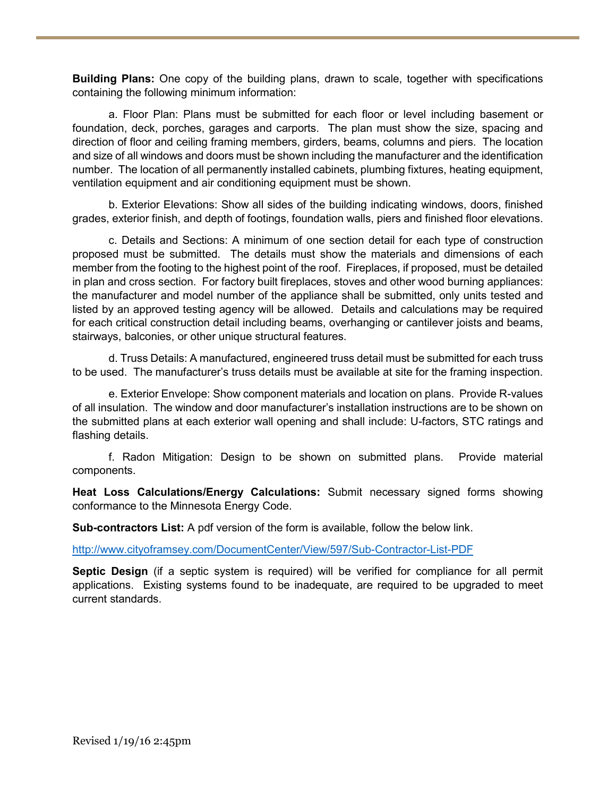**Building Plans:** One copy of the building plans, drawn to scale, together with specifications containing the following minimum information:

a. Floor Plan: Plans must be submitted for each floor or level including basement or foundation, deck, porches, garages and carports. The plan must show the size, spacing and direction of floor and ceiling framing members, girders, beams, columns and piers. The location and size of all windows and doors must be shown including the manufacturer and the identification number. The location of all permanently installed cabinets, plumbing fixtures, heating equipment, ventilation equipment and air conditioning equipment must be shown.

b. Exterior Elevations: Show all sides of the building indicating windows, doors, finished grades, exterior finish, and depth of footings, foundation walls, piers and finished floor elevations.

c. Details and Sections: A minimum of one section detail for each type of construction proposed must be submitted. The details must show the materials and dimensions of each member from the footing to the highest point of the roof. Fireplaces, if proposed, must be detailed in plan and cross section. For factory built fireplaces, stoves and other wood burning appliances: the manufacturer and model number of the appliance shall be submitted, only units tested and listed by an approved testing agency will be allowed. Details and calculations may be required for each critical construction detail including beams, overhanging or cantilever joists and beams, stairways, balconies, or other unique structural features.

d. Truss Details: A manufactured, engineered truss detail must be submitted for each truss to be used. The manufacturer's truss details must be available at site for the framing inspection.

e. Exterior Envelope: Show component materials and location on plans. Provide R-values of all insulation. The window and door manufacturer's installation instructions are to be shown on the submitted plans at each exterior wall opening and shall include: U-factors, STC ratings and flashing details.

f. Radon Mitigation: Design to be shown on submitted plans. Provide material components.

**Heat Loss Calculations/Energy Calculations:** Submit necessary signed forms showing conformance to the Minnesota Energy Code.

**Sub-contractors List:** A pdf version of the form is available, follow the below link.

<http://www.cityoframsey.com/DocumentCenter/View/597/Sub-Contractor-List-PDF>

**Septic Design** (if a septic system is required) will be verified for compliance for all permit applications. Existing systems found to be inadequate, are required to be upgraded to meet current standards.